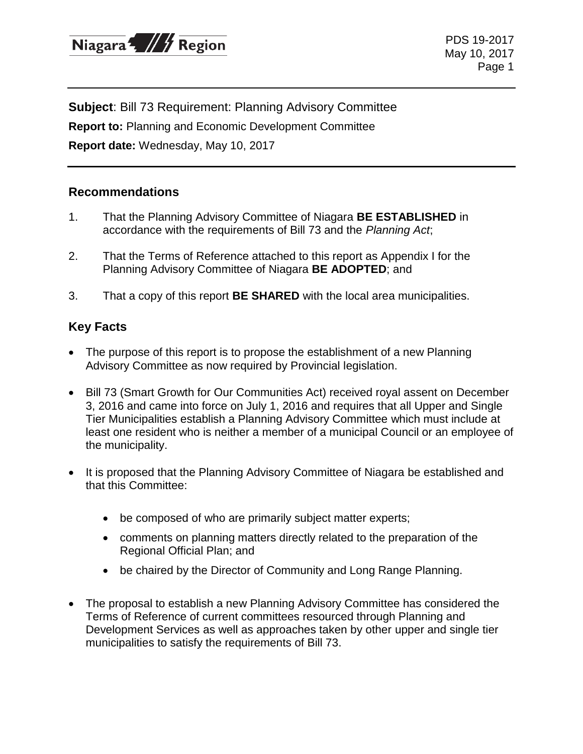

PDS 19-2017 May 10, 2017 Page 1

**Subject**: Bill 73 Requirement: Planning Advisory Committee **Report to:** Planning and Economic Development Committee **Report date:** Wednesday, May 10, 2017

#### **Recommendations**

- 1. That the Planning Advisory Committee of Niagara **BE ESTABLISHED** in accordance with the requirements of Bill 73 and the *Planning Act*;
- 2. That the Terms of Reference attached to this report as Appendix I for the Planning Advisory Committee of Niagara **BE ADOPTED**; and
- 3. That a copy of this report **BE SHARED** with the local area municipalities.

#### **Key Facts**

- The purpose of this report is to propose the establishment of a new Planning Advisory Committee as now required by Provincial legislation.
- Bill 73 (Smart Growth for Our Communities Act) received royal assent on December 3, 2016 and came into force on July 1, 2016 and requires that all Upper and Single Tier Municipalities establish a Planning Advisory Committee which must include at least one resident who is neither a member of a municipal Council or an employee of the municipality.
- It is proposed that the Planning Advisory Committee of Niagara be established and that this Committee:
	- be composed of who are primarily subject matter experts;
	- comments on planning matters directly related to the preparation of the Regional Official Plan; and
	- be chaired by the Director of Community and Long Range Planning.
- The proposal to establish a new Planning Advisory Committee has considered the Terms of Reference of current committees resourced through Planning and Development Services as well as approaches taken by other upper and single tier municipalities to satisfy the requirements of Bill 73.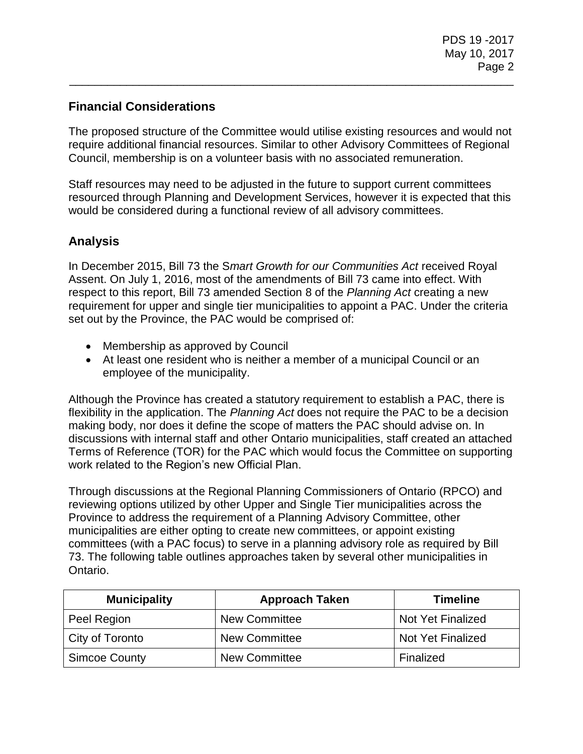# **Financial Considerations**

The proposed structure of the Committee would utilise existing resources and would not require additional financial resources. Similar to other Advisory Committees of Regional Council, membership is on a volunteer basis with no associated remuneration.

\_\_\_\_\_\_\_\_\_\_\_\_\_\_\_\_\_\_\_\_\_\_\_\_\_\_\_\_\_\_\_\_\_\_\_\_\_\_\_\_\_\_\_\_\_\_\_\_\_\_\_\_\_\_\_\_\_\_\_\_\_\_\_\_\_\_\_\_\_\_

Staff resources may need to be adjusted in the future to support current committees resourced through Planning and Development Services, however it is expected that this would be considered during a functional review of all advisory committees.

## **Analysis**

In December 2015, Bill 73 the S*mart Growth for our Communities Act* received Royal Assent. On July 1, 2016, most of the amendments of Bill 73 came into effect. With respect to this report, Bill 73 amended Section 8 of the *Planning Act* creating a new requirement for upper and single tier municipalities to appoint a PAC. Under the criteria set out by the Province, the PAC would be comprised of:

- Membership as approved by Council
- At least one resident who is neither a member of a municipal Council or an employee of the municipality.

Although the Province has created a statutory requirement to establish a PAC, there is flexibility in the application. The *Planning Act* does not require the PAC to be a decision making body, nor does it define the scope of matters the PAC should advise on. In discussions with internal staff and other Ontario municipalities, staff created an attached Terms of Reference (TOR) for the PAC which would focus the Committee on supporting work related to the Region's new Official Plan.

Through discussions at the Regional Planning Commissioners of Ontario (RPCO) and reviewing options utilized by other Upper and Single Tier municipalities across the Province to address the requirement of a Planning Advisory Committee, other municipalities are either opting to create new committees, or appoint existing committees (with a PAC focus) to serve in a planning advisory role as required by Bill 73. The following table outlines approaches taken by several other municipalities in Ontario.

| <b>Municipality</b>  | <b>Approach Taken</b> | <b>Timeline</b>          |
|----------------------|-----------------------|--------------------------|
| Peel Region          | <b>New Committee</b>  | <b>Not Yet Finalized</b> |
| City of Toronto      | <b>New Committee</b>  | <b>Not Yet Finalized</b> |
| <b>Simcoe County</b> | <b>New Committee</b>  | Finalized                |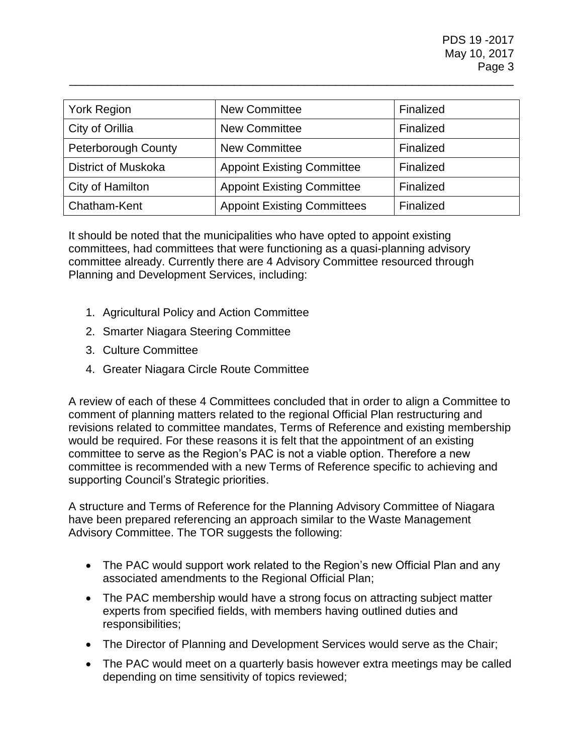| York Region                | <b>New Committee</b>               | Finalized |
|----------------------------|------------------------------------|-----------|
| City of Orillia            | <b>New Committee</b>               | Finalized |
| <b>Peterborough County</b> | <b>New Committee</b>               | Finalized |
| <b>District of Muskoka</b> | <b>Appoint Existing Committee</b>  | Finalized |
| City of Hamilton           | <b>Appoint Existing Committee</b>  | Finalized |
| Chatham-Kent               | <b>Appoint Existing Committees</b> | Finalized |

\_\_\_\_\_\_\_\_\_\_\_\_\_\_\_\_\_\_\_\_\_\_\_\_\_\_\_\_\_\_\_\_\_\_\_\_\_\_\_\_\_\_\_\_\_\_\_\_\_\_\_\_\_\_\_\_\_\_\_\_\_\_\_\_\_\_\_\_\_\_

It should be noted that the municipalities who have opted to appoint existing committees, had committees that were functioning as a quasi-planning advisory committee already. Currently there are 4 Advisory Committee resourced through Planning and Development Services, including:

- 1. Agricultural Policy and Action Committee
- 2. Smarter Niagara Steering Committee
- 3. Culture Committee
- 4. Greater Niagara Circle Route Committee

A review of each of these 4 Committees concluded that in order to align a Committee to comment of planning matters related to the regional Official Plan restructuring and revisions related to committee mandates, Terms of Reference and existing membership would be required. For these reasons it is felt that the appointment of an existing committee to serve as the Region's PAC is not a viable option. Therefore a new committee is recommended with a new Terms of Reference specific to achieving and supporting Council's Strategic priorities.

A structure and Terms of Reference for the Planning Advisory Committee of Niagara have been prepared referencing an approach similar to the Waste Management Advisory Committee. The TOR suggests the following:

- The PAC would support work related to the Region's new Official Plan and any associated amendments to the Regional Official Plan;
- The PAC membership would have a strong focus on attracting subject matter experts from specified fields, with members having outlined duties and responsibilities;
- The Director of Planning and Development Services would serve as the Chair;
- The PAC would meet on a quarterly basis however extra meetings may be called depending on time sensitivity of topics reviewed;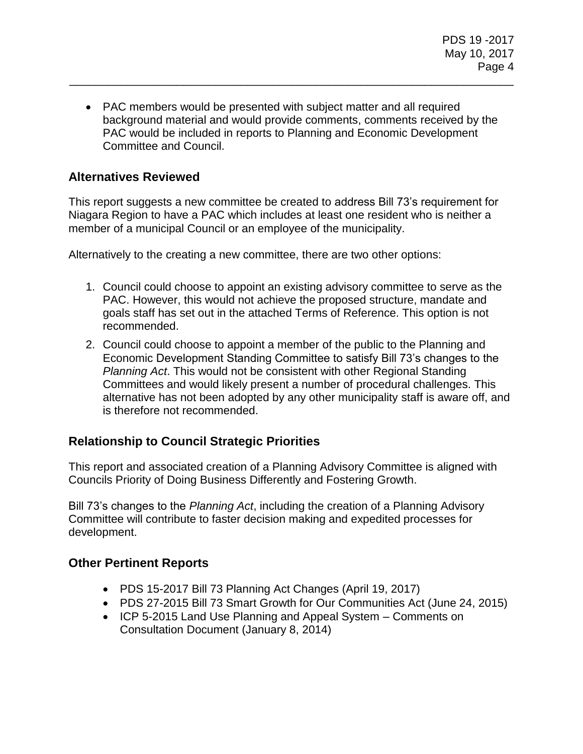PAC members would be presented with subject matter and all required background material and would provide comments, comments received by the PAC would be included in reports to Planning and Economic Development Committee and Council.

\_\_\_\_\_\_\_\_\_\_\_\_\_\_\_\_\_\_\_\_\_\_\_\_\_\_\_\_\_\_\_\_\_\_\_\_\_\_\_\_\_\_\_\_\_\_\_\_\_\_\_\_\_\_\_\_\_\_\_\_\_\_\_\_\_\_\_\_\_\_

### **Alternatives Reviewed**

This report suggests a new committee be created to address Bill 73's requirement for Niagara Region to have a PAC which includes at least one resident who is neither a member of a municipal Council or an employee of the municipality.

Alternatively to the creating a new committee, there are two other options:

- 1. Council could choose to appoint an existing advisory committee to serve as the PAC. However, this would not achieve the proposed structure, mandate and goals staff has set out in the attached Terms of Reference. This option is not recommended.
- 2. Council could choose to appoint a member of the public to the Planning and Economic Development Standing Committee to satisfy Bill 73's changes to the *Planning Act*. This would not be consistent with other Regional Standing Committees and would likely present a number of procedural challenges. This alternative has not been adopted by any other municipality staff is aware off, and is therefore not recommended.

#### **Relationship to Council Strategic Priorities**

This report and associated creation of a Planning Advisory Committee is aligned with Councils Priority of Doing Business Differently and Fostering Growth.

Bill 73's changes to the *Planning Act*, including the creation of a Planning Advisory Committee will contribute to faster decision making and expedited processes for development.

#### **Other Pertinent Reports**

- PDS 15-2017 Bill 73 Planning Act Changes (April 19, 2017)
- PDS 27-2015 Bill 73 Smart Growth for Our Communities Act (June 24, 2015)
- ICP 5-2015 Land Use Planning and Appeal System Comments on Consultation Document (January 8, 2014)